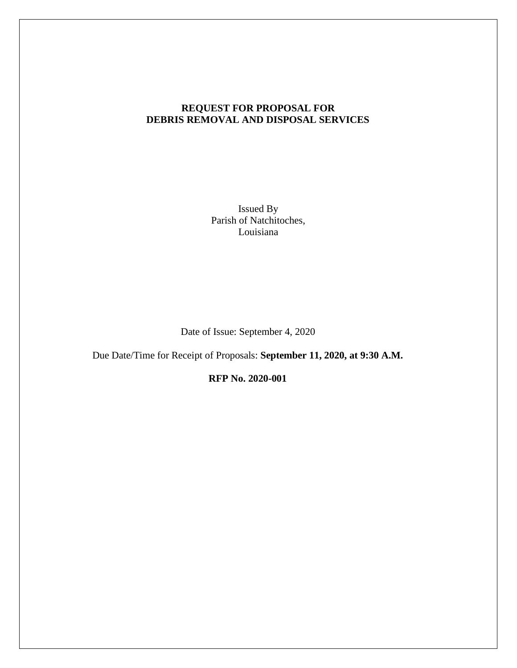# **REQUEST FOR PROPOSAL FOR DEBRIS REMOVAL AND DISPOSAL SERVICES**

Issued By Parish of Natchitoches, Louisiana

Date of Issue: September 4, 2020

Due Date/Time for Receipt of Proposals: **September 11, 2020, at 9:30 A.M.** 

**RFP No. 2020-001**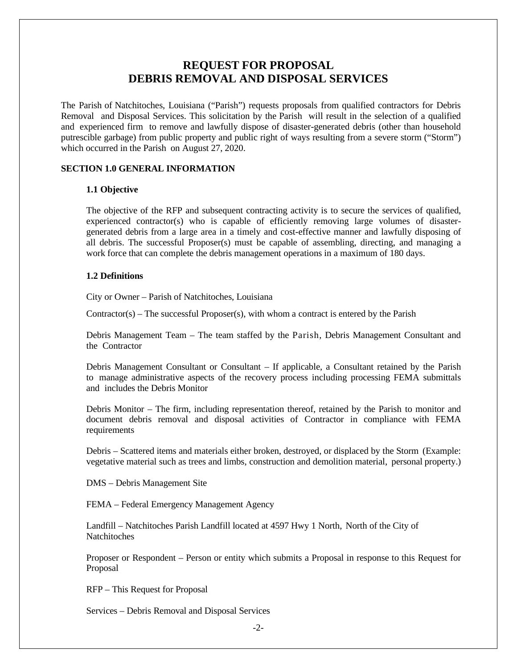# **REQUEST FOR PROPOSAL DEBRIS REMOVAL AND DISPOSAL SERVICES**

The Parish of Natchitoches, Louisiana ("Parish") requests proposals from qualified contractors for Debris Removal and Disposal Services. This solicitation by the Parish will result in the selection of a qualified and experienced firm to remove and lawfully dispose of disaster-generated debris (other than household putrescible garbage) from public property and public right of ways resulting from a severe storm ("Storm") which occurred in the Parish on August 27, 2020.

# **SECTION 1.0 GENERAL INFORMATION**

## **1.1 Objective**

The objective of the RFP and subsequent contracting activity is to secure the services of qualified, experienced contractor(s) who is capable of efficiently removing large volumes of disastergenerated debris from a large area in a timely and cost-effective manner and lawfully disposing of all debris. The successful Proposer(s) must be capable of assembling, directing, and managing a work force that can complete the debris management operations in a maximum of 180 days.

# **1.2 Definitions**

City or Owner – Parish of Natchitoches, Louisiana

 $Contractor(s) - The successful Proposer(s), with whom a contract is entered by the Parish$ 

Debris Management Team – The team staffed by the Parish, Debris Management Consultant and the Contractor

Debris Management Consultant or Consultant – If applicable, a Consultant retained by the Parish to manage administrative aspects of the recovery process including processing FEMA submittals and includes the Debris Monitor

Debris Monitor – The firm, including representation thereof, retained by the Parish to monitor and document debris removal and disposal activities of Contractor in compliance with FEMA requirements

Debris – Scattered items and materials either broken, destroyed, or displaced by the Storm (Example: vegetative material such as trees and limbs, construction and demolition material, personal property.)

DMS – Debris Management Site

FEMA – Federal Emergency Management Agency

Landfill – Natchitoches Parish Landfill located at 4597 Hwy 1 North, North of the City of **Natchitoches** 

Proposer or Respondent – Person or entity which submits a Proposal in response to this Request for Proposal

RFP – This Request for Proposal

Services – Debris Removal and Disposal Services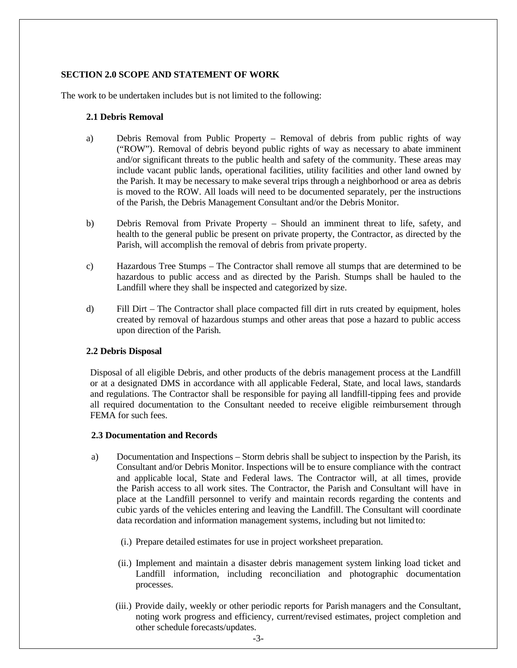# **SECTION 2.0 SCOPE AND STATEMENT OF WORK**

The work to be undertaken includes but is not limited to the following:

## **2.1 Debris Removal**

- a) Debris Removal from Public Property Removal of debris from public rights of way ("ROW"). Removal of debris beyond public rights of way as necessary to abate imminent and/or significant threats to the public health and safety of the community. These areas may include vacant public lands, operational facilities, utility facilities and other land owned by the Parish. It may be necessary to make several trips through a neighborhood or area as debris is moved to the ROW. All loads will need to be documented separately, per the instructions of the Parish, the Debris Management Consultant and/or the Debris Monitor.
- b) Debris Removal from Private Property Should an imminent threat to life, safety, and health to the general public be present on private property, the Contractor, as directed by the Parish, will accomplish the removal of debris from private property.
- c) Hazardous Tree Stumps The Contractor shall remove all stumps that are determined to be hazardous to public access and as directed by the Parish. Stumps shall be hauled to the Landfill where they shall be inspected and categorized by size.
- d) Fill Dirt The Contractor shall place compacted fill dirt in ruts created by equipment, holes created by removal of hazardous stumps and other areas that pose a hazard to public access upon direction of the Parish.

# **2.2 Debris Disposal**

Disposal of all eligible Debris, and other products of the debris management process at the Landfill or at a designated DMS in accordance with all applicable Federal, State, and local laws, standards and regulations. The Contractor shall be responsible for paying all landfill-tipping fees and provide all required documentation to the Consultant needed to receive eligible reimbursement through FEMA for such fees.

#### **2.3 Documentation and Records**

- a) Documentation and Inspections Storm debris shall be subject to inspection by the Parish, its Consultant and/or Debris Monitor. Inspections will be to ensure compliance with the contract and applicable local, State and Federal laws. The Contractor will, at all times, provide the Parish access to all work sites. The Contractor, the Parish and Consultant will have in place at the Landfill personnel to verify and maintain records regarding the contents and cubic yards of the vehicles entering and leaving the Landfill. The Consultant will coordinate data recordation and information management systems, including but not limited to:
	- (i.) Prepare detailed estimates for use in project worksheet preparation.
	- (ii.) Implement and maintain a disaster debris management system linking load ticket and Landfill information, including reconciliation and photographic documentation processes.
	- (iii.) Provide daily, weekly or other periodic reports for Parish managers and the Consultant, noting work progress and efficiency, current/revised estimates, project completion and other schedule forecasts/updates.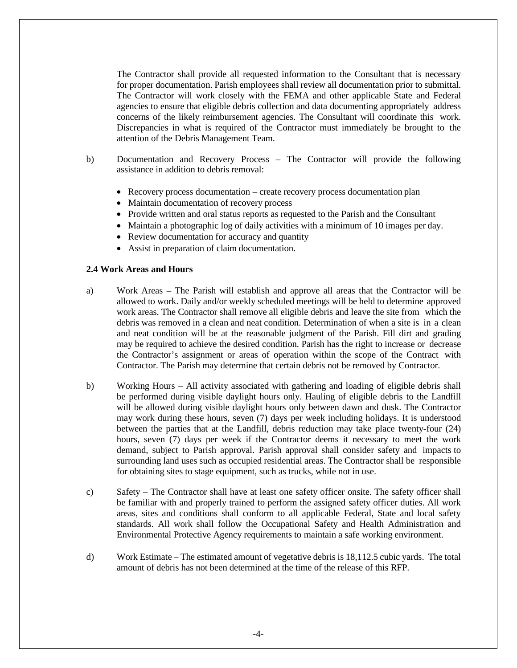The Contractor shall provide all requested information to the Consultant that is necessary for proper documentation. Parish employees shall review all documentation prior to submittal. The Contractor will work closely with the FEMA and other applicable State and Federal agencies to ensure that eligible debris collection and data documenting appropriately address concerns of the likely reimbursement agencies. The Consultant will coordinate this work. Discrepancies in what is required of the Contractor must immediately be brought to the attention of the Debris Management Team.

- b) Documentation and Recovery Process The Contractor will provide the following assistance in addition to debris removal:
	- Recovery process documentation create recovery process documentation plan
	- Maintain documentation of recovery process
	- Provide written and oral status reports as requested to the Parish and the Consultant
	- Maintain a photographic log of daily activities with a minimum of 10 images per day.
	- Review documentation for accuracy and quantity
	- Assist in preparation of claim documentation.

## **2.4 Work Areas and Hours**

- a) Work Areas The Parish will establish and approve all areas that the Contractor will be allowed to work. Daily and/or weekly scheduled meetings will be held to determine approved work areas. The Contractor shall remove all eligible debris and leave the site from which the debris was removed in a clean and neat condition. Determination of when a site is in a clean and neat condition will be at the reasonable judgment of the Parish. Fill dirt and grading may be required to achieve the desired condition. Parish has the right to increase or decrease the Contractor's assignment or areas of operation within the scope of the Contract with Contractor. The Parish may determine that certain debris not be removed by Contractor.
- b) Working Hours All activity associated with gathering and loading of eligible debris shall be performed during visible daylight hours only. Hauling of eligible debris to the Landfill will be allowed during visible daylight hours only between dawn and dusk. The Contractor may work during these hours, seven (7) days per week including holidays. It is understood between the parties that at the Landfill, debris reduction may take place twenty-four (24) hours, seven (7) days per week if the Contractor deems it necessary to meet the work demand, subject to Parish approval. Parish approval shall consider safety and impacts to surrounding land uses such as occupied residential areas. The Contractor shall be responsible for obtaining sites to stage equipment, such as trucks, while not in use.
- c) Safety The Contractor shall have at least one safety officer onsite. The safety officer shall be familiar with and properly trained to perform the assigned safety officer duties. All work areas, sites and conditions shall conform to all applicable Federal, State and local safety standards. All work shall follow the Occupational Safety and Health Administration and Environmental Protective Agency requirements to maintain a safe working environment.
- d) Work Estimate The estimated amount of vegetative debris is 18,112.5 cubic yards. The total amount of debris has not been determined at the time of the release of this RFP.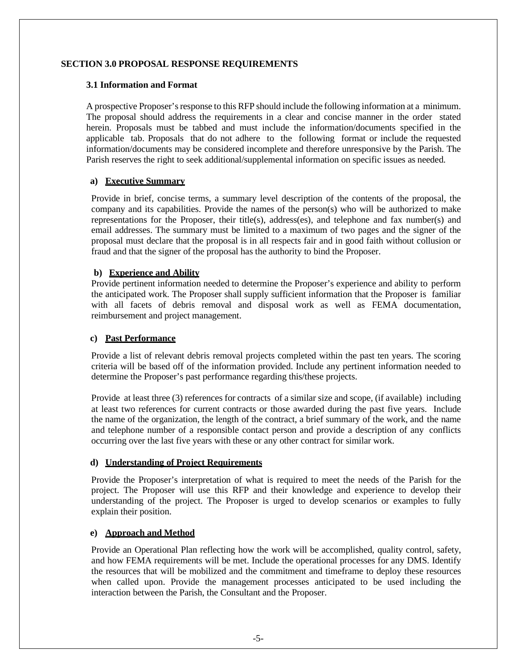## **SECTION 3.0 PROPOSAL RESPONSE REQUIREMENTS**

### **3.1 Information and Format**

A prospective Proposer's response to this RFP should include the following information at a minimum. The proposal should address the requirements in a clear and concise manner in the order stated herein. Proposals must be tabbed and must include the information/documents specified in the applicable tab. Proposals that do not adhere to the following format or include the requested information/documents may be considered incomplete and therefore unresponsive by the Parish. The Parish reserves the right to seek additional/supplemental information on specific issues as needed.

## **a) Executive Summary**

Provide in brief, concise terms, a summary level description of the contents of the proposal, the company and its capabilities. Provide the names of the person(s) who will be authorized to make representations for the Proposer, their title(s), address(es), and telephone and fax number(s) and email addresses. The summary must be limited to a maximum of two pages and the signer of the proposal must declare that the proposal is in all respects fair and in good faith without collusion or fraud and that the signer of the proposal has the authority to bind the Proposer.

## **b) Experience and Ability**

Provide pertinent information needed to determine the Proposer's experience and ability to perform the anticipated work. The Proposer shall supply sufficient information that the Proposer is familiar with all facets of debris removal and disposal work as well as FEMA documentation, reimbursement and project management.

#### **c) Past Performance**

Provide a list of relevant debris removal projects completed within the past ten years. The scoring criteria will be based off of the information provided. Include any pertinent information needed to determine the Proposer's past performance regarding this/these projects.

Provide at least three (3) references for contracts of a similar size and scope, (if available) including at least two references for current contracts or those awarded during the past five years. Include the name of the organization, the length of the contract, a brief summary of the work, and the name and telephone number of a responsible contact person and provide a description of any conflicts occurring over the last five years with these or any other contract for similar work.

# **d) Understanding of Project Requirements**

Provide the Proposer's interpretation of what is required to meet the needs of the Parish for the project. The Proposer will use this RFP and their knowledge and experience to develop their understanding of the project. The Proposer is urged to develop scenarios or examples to fully explain their position.

# **e) Approach and Method**

Provide an Operational Plan reflecting how the work will be accomplished, quality control, safety, and how FEMA requirements will be met. Include the operational processes for any DMS. Identify the resources that will be mobilized and the commitment and timeframe to deploy these resources when called upon. Provide the management processes anticipated to be used including the interaction between the Parish, the Consultant and the Proposer.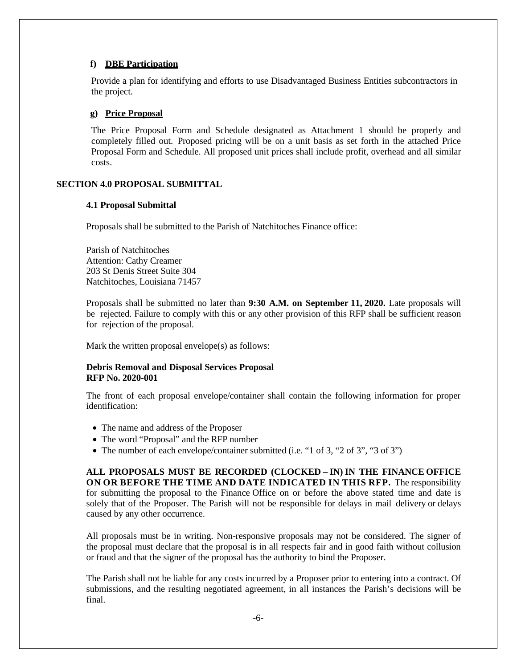## **f) DBE Participation**

Provide a plan for identifying and efforts to use Disadvantaged Business Entities subcontractors in the project.

#### **g) Price Proposal**

The Price Proposal Form and Schedule designated as Attachment 1 should be properly and completely filled out. Proposed pricing will be on a unit basis as set forth in the attached Price Proposal Form and Schedule. All proposed unit prices shall include profit, overhead and all similar costs.

#### **SECTION 4.0 PROPOSAL SUBMITTAL**

#### **4.1 Proposal Submittal**

Proposals shall be submitted to the Parish of Natchitoches Finance office:

Parish of Natchitoches Attention: Cathy Creamer 203 St Denis Street Suite 304 Natchitoches, Louisiana 71457

Proposals shall be submitted no later than **9:30 A.M. on September 11, 2020.** Late proposals will be rejected. Failure to comply with this or any other provision of this RFP shall be sufficient reason for rejection of the proposal.

Mark the written proposal envelope(s) as follows:

## **Debris Removal and Disposal Services Proposal RFP No. 2020-001**

The front of each proposal envelope/container shall contain the following information for proper identification:

- The name and address of the Proposer
- The word "Proposal" and the RFP number
- The number of each envelope/container submitted (i.e. "1 of 3, "2 of 3", "3 of 3")

**ALL PROPOSALS MUST BE RECORDED (CLOCKED – IN) IN THE FINANCE OFFICE ON OR BEFORE THE TIME AND DATE INDICATED IN THIS RFP.** The responsibility for submitting the proposal to the Finance Office on or before the above stated time and date is solely that of the Proposer. The Parish will not be responsible for delays in mail delivery or delays caused by any other occurrence.

All proposals must be in writing. Non-responsive proposals may not be considered. The signer of the proposal must declare that the proposal is in all respects fair and in good faith without collusion or fraud and that the signer of the proposal has the authority to bind the Proposer.

The Parish shall not be liable for any costs incurred by a Proposer prior to entering into a contract. Of submissions, and the resulting negotiated agreement, in all instances the Parish's decisions will be final.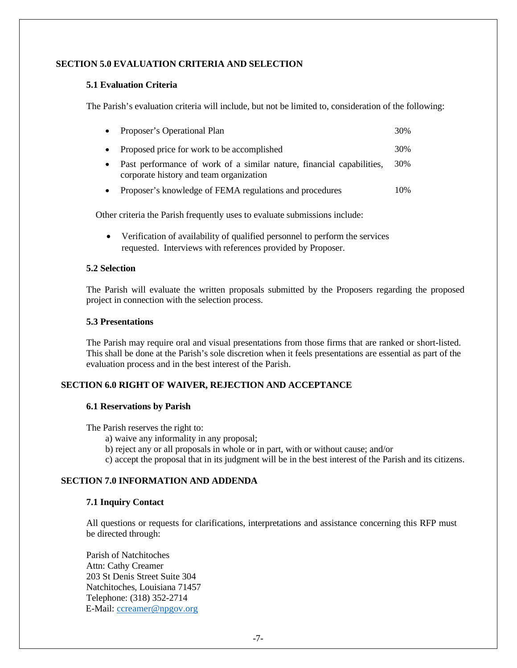## **SECTION 5.0 EVALUATION CRITERIA AND SELECTION**

#### **5.1 Evaluation Criteria**

The Parish's evaluation criteria will include, but not be limited to, consideration of the following:

| Proposer's Operational Plan                                                                                      | 30% |
|------------------------------------------------------------------------------------------------------------------|-----|
| Proposed price for work to be accomplished                                                                       | 30% |
| Past performance of work of a similar nature, financial capabilities,<br>corporate history and team organization | 30% |
| Proposer's knowledge of FEMA regulations and procedures                                                          | 10% |

Other criteria the Parish frequently uses to evaluate submissions include:

 Verification of availability of qualified personnel to perform the services requested. Interviews with references provided by Proposer.

#### **5.2 Selection**

The Parish will evaluate the written proposals submitted by the Proposers regarding the proposed project in connection with the selection process.

## **5.3 Presentations**

The Parish may require oral and visual presentations from those firms that are ranked or short-listed. This shall be done at the Parish's sole discretion when it feels presentations are essential as part of the evaluation process and in the best interest of the Parish.

# **SECTION 6.0 RIGHT OF WAIVER, REJECTION AND ACCEPTANCE**

#### **6.1 Reservations by Parish**

The Parish reserves the right to:

- a) waive any informality in any proposal;
- b) reject any or all proposals in whole or in part, with or without cause; and/or
- c) accept the proposal that in its judgment will be in the best interest of the Parish and its citizens.

## **SECTION 7.0 INFORMATION AND ADDENDA**

#### **7.1 Inquiry Contact**

All questions or requests for clarifications, interpretations and assistance concerning this RFP must be directed through:

Parish of Natchitoches Attn: Cathy Creamer 203 St Denis Street Suite 304 Natchitoches, Louisiana 71457 Telephone: (318) 352-2714 E-Mail: ccreamer@npgov.org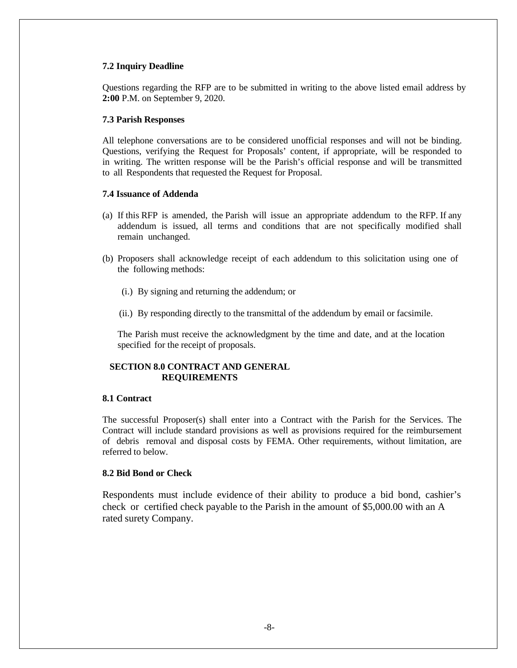#### **7.2 Inquiry Deadline**

Questions regarding the RFP are to be submitted in writing to the above listed email address by **2:00** P.M. on September 9, 2020.

#### **7.3 Parish Responses**

All telephone conversations are to be considered unofficial responses and will not be binding. Questions, verifying the Request for Proposals' content, if appropriate, will be responded to in writing. The written response will be the Parish's official response and will be transmitted to all Respondents that requested the Request for Proposal.

### **7.4 Issuance of Addenda**

- (a) If this RFP is amended, the Parish will issue an appropriate addendum to the RFP. If any addendum is issued, all terms and conditions that are not specifically modified shall remain unchanged.
- (b) Proposers shall acknowledge receipt of each addendum to this solicitation using one of the following methods:
	- (i.) By signing and returning the addendum; or
	- (ii.) By responding directly to the transmittal of the addendum by email or facsimile.

The Parish must receive the acknowledgment by the time and date, and at the location specified for the receipt of proposals.

# **SECTION 8.0 CONTRACT AND GENERAL REQUIREMENTS**

## **8.1 Contract**

The successful Proposer(s) shall enter into a Contract with the Parish for the Services. The Contract will include standard provisions as well as provisions required for the reimbursement of debris removal and disposal costs by FEMA. Other requirements, without limitation, are referred to below.

## **8.2 Bid Bond or Check**

Respondents must include evidence of their ability to produce a bid bond, cashier's check or certified check payable to the Parish in the amount of \$5,000.00 with an A rated surety Company.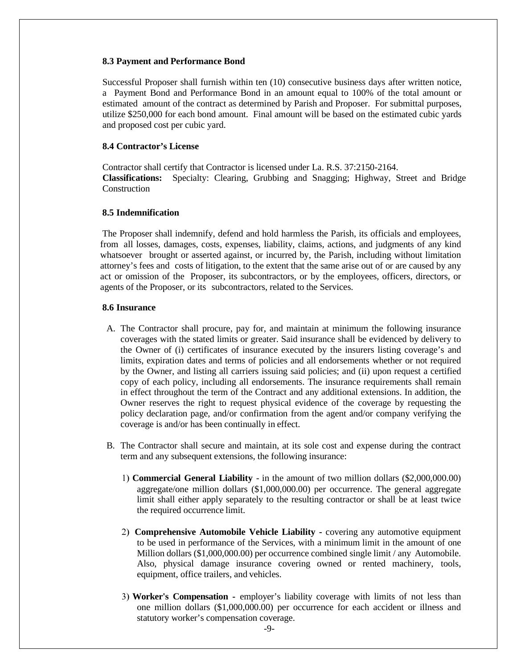#### **8.3 Payment and Performance Bond**

Successful Proposer shall furnish within ten (10) consecutive business days after written notice, a Payment Bond and Performance Bond in an amount equal to 100% of the total amount or estimated amount of the contract as determined by Parish and Proposer. For submittal purposes, utilize \$250,000 for each bond amount. Final amount will be based on the estimated cubic yards and proposed cost per cubic yard.

## **8.4 Contractor's License**

Contractor shall certify that Contractor is licensed under La. R.S. 37:2150-2164. **Classifications:** Specialty: Clearing, Grubbing and Snagging; Highway, Street and Bridge Construction

#### **8.5 Indemnification**

The Proposer shall indemnify, defend and hold harmless the Parish, its officials and employees, from all losses, damages, costs, expenses, liability, claims, actions, and judgments of any kind whatsoever brought or asserted against, or incurred by, the Parish, including without limitation attorney's fees and costs of litigation, to the extent that the same arise out of or are caused by any act or omission of the Proposer, its subcontractors, or by the employees, officers, directors, or agents of the Proposer, or its subcontractors, related to the Services.

#### **8.6 Insurance**

- A. The Contractor shall procure, pay for, and maintain at minimum the following insurance coverages with the stated limits or greater. Said insurance shall be evidenced by delivery to the Owner of (i) certificates of insurance executed by the insurers listing coverage's and limits, expiration dates and terms of policies and all endorsements whether or not required by the Owner, and listing all carriers issuing said policies; and (ii) upon request a certified copy of each policy, including all endorsements. The insurance requirements shall remain in effect throughout the term of the Contract and any additional extensions. In addition, the Owner reserves the right to request physical evidence of the coverage by requesting the policy declaration page, and/or confirmation from the agent and/or company verifying the coverage is and/or has been continually in effect.
- B. The Contractor shall secure and maintain, at its sole cost and expense during the contract term and any subsequent extensions, the following insurance:
	- **Commercial General Liability**  in the amount of two million dollars (\$2,000,000.00) aggregate/one million dollars (\$1,000,000.00) per occurrence. The general aggregate limit shall either apply separately to the resulting contractor or shall be at least twice the required occurrence limit.
	- **Comprehensive Automobile Vehicle Liability** covering any automotive equipment to be used in performance of the Services, with a minimum limit in the amount of one Million dollars (\$1,000,000.00) per occurrence combined single limit / any Automobile. Also, physical damage insurance covering owned or rented machinery, tools, equipment, office trailers, and vehicles.
	- **Worker's Compensation** employer's liability coverage with limits of not less than one million dollars (\$1,000,000.00) per occurrence for each accident or illness and statutory worker's compensation coverage.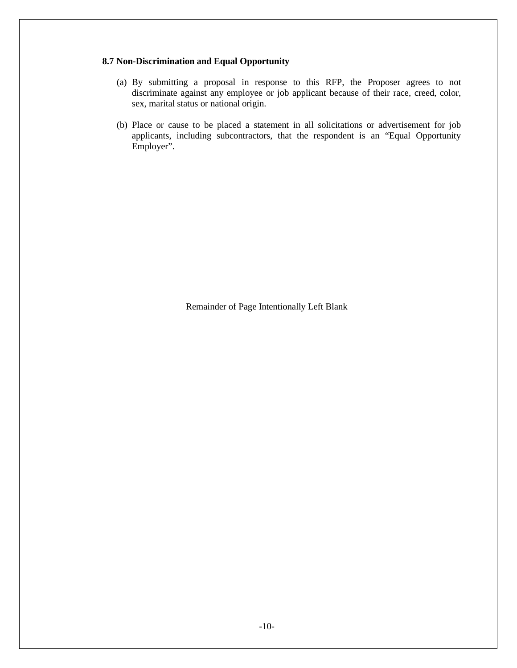# **8.7 Non-Discrimination and Equal Opportunity**

- (a) By submitting a proposal in response to this RFP, the Proposer agrees to not discriminate against any employee or job applicant because of their race, creed, color, sex, marital status or national origin.
- (b) Place or cause to be placed a statement in all solicitations or advertisement for job applicants, including subcontractors, that the respondent is an "Equal Opportunity Employer".

Remainder of Page Intentionally Left Blank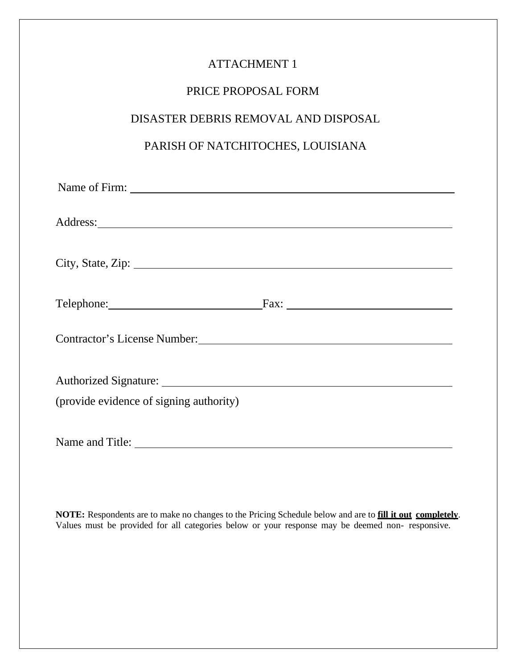# PRICE PROPOSAL FORM

# DISASTER DEBRIS REMOVAL AND DISPOSAL

# PARISH OF NATCHITOCHES, LOUISIANA

| Address: <u>and a series of the series of the series of the series of the series of the series of the series of the series of the series of the series of the series of the series of the series of the series of the series of </u> |  |  |  |
|--------------------------------------------------------------------------------------------------------------------------------------------------------------------------------------------------------------------------------------|--|--|--|
|                                                                                                                                                                                                                                      |  |  |  |
|                                                                                                                                                                                                                                      |  |  |  |
|                                                                                                                                                                                                                                      |  |  |  |
|                                                                                                                                                                                                                                      |  |  |  |
| Telephone: Fax: Fax:                                                                                                                                                                                                                 |  |  |  |
|                                                                                                                                                                                                                                      |  |  |  |
|                                                                                                                                                                                                                                      |  |  |  |
|                                                                                                                                                                                                                                      |  |  |  |
|                                                                                                                                                                                                                                      |  |  |  |
|                                                                                                                                                                                                                                      |  |  |  |
| (provide evidence of signing authority)                                                                                                                                                                                              |  |  |  |
|                                                                                                                                                                                                                                      |  |  |  |
|                                                                                                                                                                                                                                      |  |  |  |
|                                                                                                                                                                                                                                      |  |  |  |

**NOTE:** Respondents are to make no changes to the Pricing Schedule below and are to **fill it out completely**. Values must be provided for all categories below or your response may be deemed non- responsive.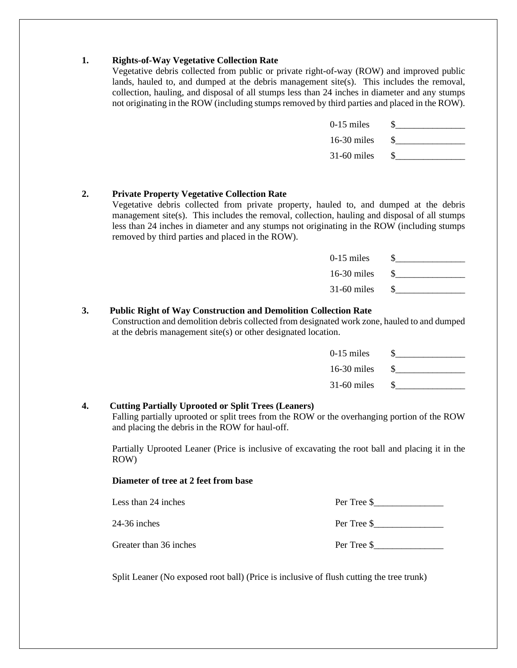# **1. Rights-of-Way Vegetative Collection Rate**

Vegetative debris collected from public or private right-of-way (ROW) and improved public lands, hauled to, and dumped at the debris management site(s). This includes the removal, collection, hauling, and disposal of all stumps less than 24 inches in diameter and any stumps not originating in the ROW (including stumps removed by third parties and placed in the ROW).

| $0-15$ miles  |  |
|---------------|--|
| $16-30$ miles |  |
| $31-60$ miles |  |

# **2. Private Property Vegetative Collection Rate**

Vegetative debris collected from private property, hauled to, and dumped at the debris management site(s). This includes the removal, collection, hauling and disposal of all stumps less than 24 inches in diameter and any stumps not originating in the ROW (including stumps removed by third parties and placed in the ROW).

| $0-15$ miles  |  |
|---------------|--|
| $16-30$ miles |  |
| $31-60$ miles |  |

# **3. Public Right of Way Construction and Demolition Collection Rate**

Construction and demolition debris collected from designated work zone, hauled to and dumped at the debris management site(s) or other designated location.

| $0-15$ miles  |  |
|---------------|--|
| $16-30$ miles |  |
| $31-60$ miles |  |

# **4. Cutting Partially Uprooted or Split Trees (Leaners)**

Falling partially uprooted or split trees from the ROW or the overhanging portion of the ROW and placing the debris in the ROW for haul-off.

Partially Uprooted Leaner (Price is inclusive of excavating the root ball and placing it in the ROW)

# **Diameter of tree at 2 feet from base**

| Less than 24 inches    | Per Tree \$ |
|------------------------|-------------|
| 24-36 inches           | Per Tree \$ |
| Greater than 36 inches | Per Tree \$ |

Split Leaner (No exposed root ball) (Price is inclusive of flush cutting the tree trunk)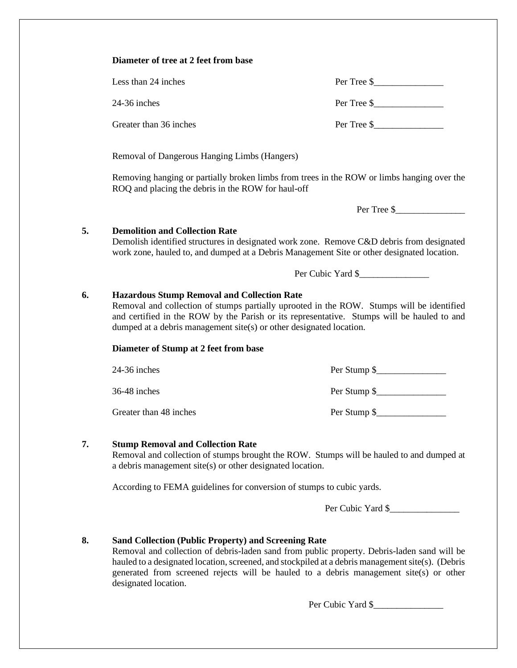|    | Diameter of tree at 2 feet from base                                                                                                                                                                                                                                                                                 |                                                                                                                                                                                         |  |
|----|----------------------------------------------------------------------------------------------------------------------------------------------------------------------------------------------------------------------------------------------------------------------------------------------------------------------|-----------------------------------------------------------------------------------------------------------------------------------------------------------------------------------------|--|
|    | Less than 24 inches                                                                                                                                                                                                                                                                                                  | Per Tree $\frac{1}{2}$                                                                                                                                                                  |  |
|    | 24-36 inches                                                                                                                                                                                                                                                                                                         | Per Tree \$                                                                                                                                                                             |  |
|    | Greater than 36 inches                                                                                                                                                                                                                                                                                               | Per Tree $\frac{1}{2}$                                                                                                                                                                  |  |
|    | Removal of Dangerous Hanging Limbs (Hangers)                                                                                                                                                                                                                                                                         |                                                                                                                                                                                         |  |
|    | ROQ and placing the debris in the ROW for haul-off                                                                                                                                                                                                                                                                   | Removing hanging or partially broken limbs from trees in the ROW or limbs hanging over the                                                                                              |  |
|    |                                                                                                                                                                                                                                                                                                                      | Per Tree \$                                                                                                                                                                             |  |
| 5. | <b>Demolition and Collection Rate</b>                                                                                                                                                                                                                                                                                | Demolish identified structures in designated work zone. Remove C&D debris from designated<br>work zone, hauled to, and dumped at a Debris Management Site or other designated location. |  |
|    |                                                                                                                                                                                                                                                                                                                      | Per Cubic Yard \$                                                                                                                                                                       |  |
| 6. | <b>Hazardous Stump Removal and Collection Rate</b><br>Removal and collection of stumps partially uprooted in the ROW. Stumps will be identified<br>and certified in the ROW by the Parish or its representative. Stumps will be hauled to and<br>dumped at a debris management site(s) or other designated location. |                                                                                                                                                                                         |  |
|    | Diameter of Stump at 2 feet from base                                                                                                                                                                                                                                                                                |                                                                                                                                                                                         |  |
|    |                                                                                                                                                                                                                                                                                                                      |                                                                                                                                                                                         |  |
|    | 24-36 inches                                                                                                                                                                                                                                                                                                         |                                                                                                                                                                                         |  |
|    | 36-48 inches                                                                                                                                                                                                                                                                                                         |                                                                                                                                                                                         |  |
|    | Greater than 48 inches                                                                                                                                                                                                                                                                                               | Per Stump \$                                                                                                                                                                            |  |
| 7. | <b>Stump Removal and Collection Rate</b><br>a debris management site(s) or other designated location.                                                                                                                                                                                                                |                                                                                                                                                                                         |  |
|    | According to FEMA guidelines for conversion of stumps to cubic yards.                                                                                                                                                                                                                                                |                                                                                                                                                                                         |  |
|    |                                                                                                                                                                                                                                                                                                                      | Removal and collection of stumps brought the ROW. Stumps will be hauled to and dumped at<br>Per Cubic Yard \$                                                                           |  |

Per Cubic Yard \$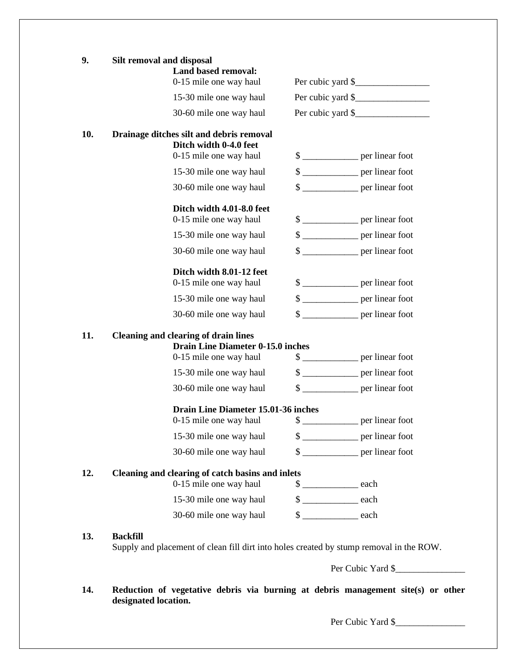| 9.  | Silt removal and disposal<br><b>Land based removal:</b>                                                    |                                      |  |
|-----|------------------------------------------------------------------------------------------------------------|--------------------------------------|--|
|     | 0-15 mile one way haul                                                                                     | Per cubic yard \$                    |  |
|     | 15-30 mile one way haul                                                                                    | Per cubic yard \$                    |  |
|     | 30-60 mile one way haul                                                                                    | Per cubic yard $\frac{\gamma}{2}$    |  |
| 10. | Drainage ditches silt and debris removal                                                                   |                                      |  |
|     | Ditch width 0-4.0 feet<br>0-15 mile one way haul                                                           | \$                                   |  |
|     |                                                                                                            |                                      |  |
|     | 15-30 mile one way haul                                                                                    | \$                                   |  |
|     | 30-60 mile one way haul                                                                                    | $\frac{1}{2}$ per linear foot        |  |
|     | Ditch width 4.01-8.0 feet                                                                                  |                                      |  |
|     | 0-15 mile one way haul                                                                                     | $\frac{\sqrt{2}}{2}$ per linear foot |  |
|     | 15-30 mile one way haul                                                                                    | \$                                   |  |
|     | 30-60 mile one way haul                                                                                    | \$                                   |  |
|     | Ditch width 8.01-12 feet                                                                                   |                                      |  |
|     | 0-15 mile one way haul                                                                                     | \$                                   |  |
|     | 15-30 mile one way haul                                                                                    | $\frac{1}{2}$ per linear foot        |  |
|     | 30-60 mile one way haul                                                                                    | $\frac{1}{2}$ per linear foot        |  |
| 11. | <b>Cleaning and clearing of drain lines</b>                                                                |                                      |  |
|     | <b>Drain Line Diameter 0-15.0 inches</b>                                                                   |                                      |  |
|     | 0-15 mile one way haul                                                                                     | $\frac{1}{2}$ per linear foot        |  |
|     | 15-30 mile one way haul                                                                                    | $\frac{1}{2}$ per linear foot        |  |
|     | 30-60 mile one way haul                                                                                    |                                      |  |
|     | <b>Drain Line Diameter 15.01-36 inches</b>                                                                 |                                      |  |
|     | 0-15 mile one way haul                                                                                     | \$                                   |  |
|     | 15-30 mile one way haul                                                                                    | $\frac{\sqrt{2}}{2}$ per linear foot |  |
|     | 30-60 mile one way haul                                                                                    | \$                                   |  |
| 12. | Cleaning and clearing of catch basins and inlets                                                           |                                      |  |
|     | 0-15 mile one way haul                                                                                     | $\frac{\text{L}}{\text{L}}$ each     |  |
|     | 15-30 mile one way haul                                                                                    | $\frac{\text{2}}{\text{2}}$ each     |  |
|     | 30-60 mile one way haul                                                                                    | $\frac{\text{d}}{\text{d}}$ each     |  |
|     |                                                                                                            |                                      |  |
| 13. | <b>Backfill</b><br>Supply and placement of clean fill dirt into holes created by stump removal in the ROW. |                                      |  |

**14. Reduction of vegetative debris via burning at debris management site(s) or other designated location.** 

Per Cubic Yard \$\_\_\_\_\_\_\_\_\_\_\_\_\_\_\_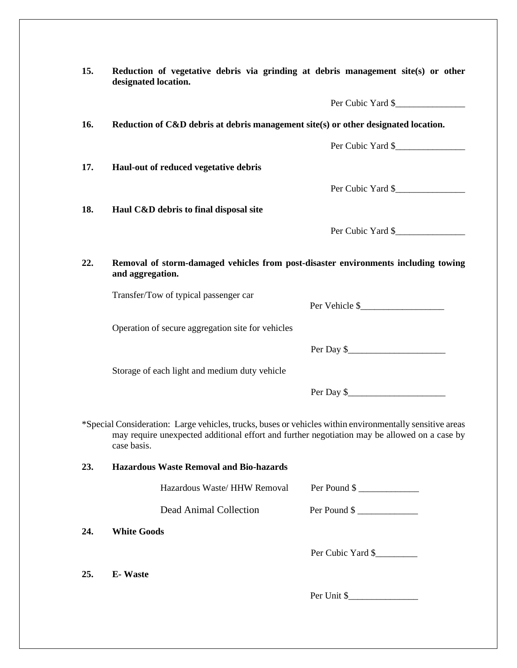| 15.        | Reduction of vegetative debris via grinding at debris management site(s) or other<br>designated location.                                                                                                               |                         |
|------------|-------------------------------------------------------------------------------------------------------------------------------------------------------------------------------------------------------------------------|-------------------------|
|            |                                                                                                                                                                                                                         | Per Cubic Yard \$       |
| 16.        | Reduction of C&D debris at debris management site(s) or other designated location.                                                                                                                                      |                         |
|            |                                                                                                                                                                                                                         | Per Cubic Yard \$       |
| 17.        | Haul-out of reduced vegetative debris                                                                                                                                                                                   |                         |
|            |                                                                                                                                                                                                                         | Per Cubic Yard \$       |
| 18.        | Haul C&D debris to final disposal site                                                                                                                                                                                  |                         |
|            |                                                                                                                                                                                                                         | Per Cubic Yard \$       |
| 22.        | Removal of storm-damaged vehicles from post-disaster environments including towing<br>and aggregation.                                                                                                                  |                         |
|            | Transfer/Tow of typical passenger car                                                                                                                                                                                   | Per Vehicle \$          |
|            | Operation of secure aggregation site for vehicles                                                                                                                                                                       |                         |
|            |                                                                                                                                                                                                                         | Per Day $\frac{1}{2}$   |
|            | Storage of each light and medium duty vehicle                                                                                                                                                                           |                         |
|            |                                                                                                                                                                                                                         | Per Day $\frac{1}{2}$   |
|            |                                                                                                                                                                                                                         |                         |
|            | *Special Consideration: Large vehicles, trucks, buses or vehicles within environmentally sensitive areas<br>may require unexpected additional effort and further negotiation may be allowed on a case by<br>case basis. |                         |
|            | <b>Hazardous Waste Removal and Bio-hazards</b>                                                                                                                                                                          |                         |
|            | Hazardous Waste/ HHW Removal                                                                                                                                                                                            | Per Pound $\frac{1}{2}$ |
|            | Dead Animal Collection                                                                                                                                                                                                  | Per Pound \$            |
| 24.        | <b>White Goods</b>                                                                                                                                                                                                      |                         |
|            |                                                                                                                                                                                                                         | Per Cubic Yard \$       |
| 23.<br>25. | <b>E-Waste</b>                                                                                                                                                                                                          |                         |